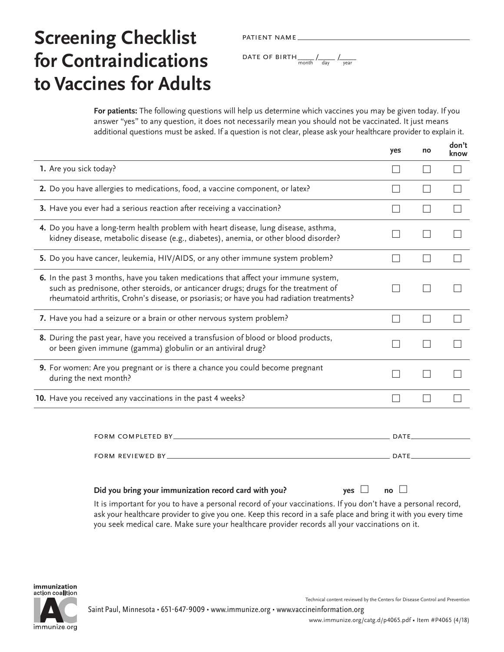# patient name

**For patients:** The following questions will help us determine which vaccines you may be given today. If you answer "yes" to any question, it does not necessarily mean you should not be vaccinated. It just means additional questions must be asked. If a question is not clear, please ask your healthcare provider to explain it.

It is important for you to have a personal record of your vaccinations. If you don't have a personal record, ask your healthcare provider to give you one. Keep this record in a safe place and bring it with you every time you seek medical care. Make sure your healthcare provider records all your vaccinations on it.

| immunization     |
|------------------|
| action coalition |
|                  |

immunize.org

Technical content reviewed by the Centers for Disease Control and Prevention

Saint Paul, Minnesota • 651-647-9009 • [www.immunize.org](http://www.immunize.org) • [www.vaccineinformation.org](http://www.vaccineinformation.org)

[www.immunize.org/catg.d/p4065.pdf](http://www.immunize.org/catg.d/p4065.pdf) • Item #P4065 (4/18)

| FORM REVIEWED BY ___________                                                                                                                                                                                                    | <b>DATE</b>                            |
|---------------------------------------------------------------------------------------------------------------------------------------------------------------------------------------------------------------------------------|----------------------------------------|
| Did you bring your immunization record card with you?                                                                                                                                                                           | $\overline{p}$ no $\Box$<br>$ves \Box$ |
| It is important for you to have a personal record of your vaccinations. If you don't have a personal record,<br>ask your healthcare provider to give you one. Keep this record in a safe place and bring it with you every time |                                        |

|                                                                                                                                                                                                                                                                                 | yes         | no                       | don't<br>know |
|---------------------------------------------------------------------------------------------------------------------------------------------------------------------------------------------------------------------------------------------------------------------------------|-------------|--------------------------|---------------|
| 1. Are you sick today?                                                                                                                                                                                                                                                          |             | $\overline{\phantom{0}}$ |               |
| 2. Do you have allergies to medications, food, a vaccine component, or latex?                                                                                                                                                                                                   |             |                          |               |
| 3. Have you ever had a serious reaction after receiving a vaccination?                                                                                                                                                                                                          |             |                          |               |
| 4. Do you have a long-term health problem with heart disease, lung disease, asthma,<br>kidney disease, metabolic disease (e.g., diabetes), anemia, or other blood disorder?                                                                                                     |             |                          |               |
| 5. Do you have cancer, leukemia, HIV/AIDS, or any other immune system problem?                                                                                                                                                                                                  |             |                          |               |
| <b>6.</b> In the past 3 months, have you taken medications that affect your immune system,<br>such as prednisone, other steroids, or anticancer drugs; drugs for the treatment of<br>rheumatoid arthritis, Crohn's disease, or psoriasis; or have you had radiation treatments? |             |                          |               |
| 7. Have you had a seizure or a brain or other nervous system problem?                                                                                                                                                                                                           |             | $\mathcal{L}$            |               |
| 8. During the past year, have you received a transfusion of blood or blood products,<br>or been given immune (gamma) globulin or an antiviral drug?                                                                                                                             |             |                          |               |
| 9. For women: Are you pregnant or is there a chance you could become pregnant<br>during the next month?                                                                                                                                                                         |             |                          |               |
| 10. Have you received any vaccinations in the past 4 weeks?                                                                                                                                                                                                                     |             |                          |               |
| FORM COMPLETED BY_                                                                                                                                                                                                                                                              | DATE.       |                          |               |
| FORM REVIEWED BY_                                                                                                                                                                                                                                                               | <b>DATE</b> |                          |               |

## **Screening Checklist for Contraindications to Vaccines for Adults**

DATE OF BIRTH  $\frac{1}{\text{month}}$  /  $\frac{1}{\text{day}}$  /  $\frac{1}{\text{year}}$